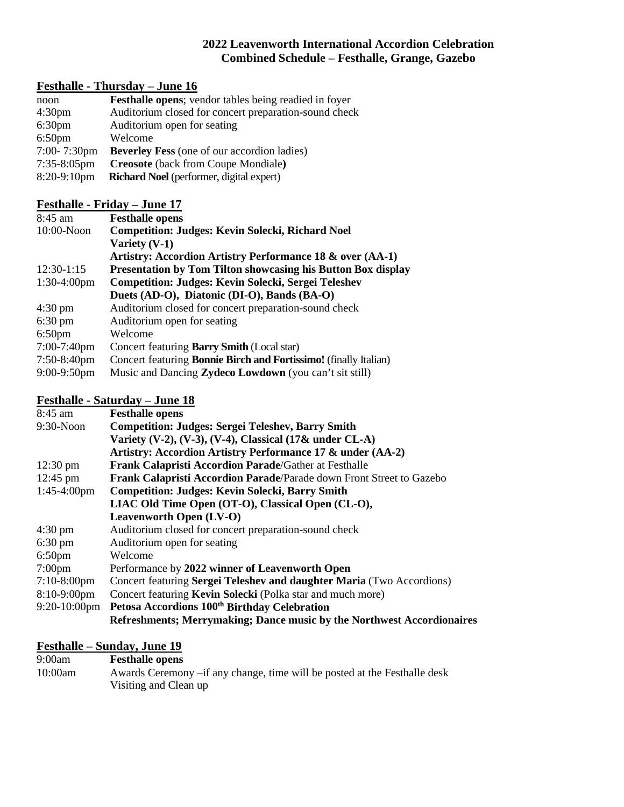### **2022 Leavenworth International Accordion Celebration Combined Schedule – Festhalle, Grange, Gazebo**

# **Festhalle - Thursday – June 16**

| noon               | <b>Festhalle opens</b> ; vendor tables being readied in foyer |
|--------------------|---------------------------------------------------------------|
| 4:30 <sub>pm</sub> | Auditorium closed for concert preparation-sound check         |
| 6:30 <sub>pm</sub> | Auditorium open for seating                                   |
| 6:50 <sub>pm</sub> | Welcome                                                       |
| $7:00 - 7:30$ pm   | <b>Beverley Fess</b> (one of our accordion ladies)            |
| $7:35-8:05$ pm     | <b>Creosote</b> (back from Coupe Mondiale)                    |
| 8:20-9:10pm        | <b>Richard Noel</b> (performer, digital expert)               |

## **Festhalle - Friday – June 17**

| $8:45$ am         | <b>Festhalle opens</b>                                                  |
|-------------------|-------------------------------------------------------------------------|
| $10:00-N$ oon     | <b>Competition: Judges: Kevin Solecki, Richard Noel</b>                 |
|                   | Variety $(V-1)$                                                         |
|                   | Artistry: Accordion Artistry Performance 18 & over (AA-1)               |
| $12:30-1:15$      | <b>Presentation by Tom Tilton showcasing his Button Box display</b>     |
| $1:30-4:00$ pm    | <b>Competition: Judges: Kevin Solecki, Sergei Teleshev</b>              |
|                   | Duets (AD-O), Diatonic (DI-O), Bands (BA-O)                             |
| $4:30 \text{ pm}$ | Auditorium closed for concert preparation-sound check                   |
| $6:30 \text{ pm}$ | Auditorium open for seating                                             |
| $6:50 \text{pm}$  | Welcome                                                                 |
| $7:00-7:40$ pm    | Concert featuring <b>Barry Smith</b> (Local star)                       |
| $7:50-8:40$ pm    | Concert featuring <b>Bonnie Birch and Fortissimo!</b> (finally Italian) |
| $9:00 - 9:50$ pm  | Music and Dancing <b>Zydeco Lowdown</b> (you can't sit still)           |

### **Festhalle - Saturday – June 18**

| 8:45 am               | <b>Festhalle opens</b>                                                 |
|-----------------------|------------------------------------------------------------------------|
| 9:30-Noon             | <b>Competition: Judges: Sergei Teleshev, Barry Smith</b>               |
|                       | Variety (V-2), (V-3), (V-4), Classical $(17&$ under CL-A)              |
|                       | Artistry: Accordion Artistry Performance 17 & under (AA-2)             |
| $12:30 \text{ pm}$    | <b>Frank Calapristi Accordion Parade/Gather at Festhalle</b>           |
| $12:45 \text{ pm}$    | Frank Calapristi Accordion Parade/Parade down Front Street to Gazebo   |
| $1:45-4:00 \text{pm}$ | <b>Competition: Judges: Kevin Solecki, Barry Smith</b>                 |
|                       | LIAC Old Time Open (OT-O), Classical Open (CL-O),                      |
|                       | <b>Leavenworth Open (LV-O)</b>                                         |
| $4:30 \text{ pm}$     | Auditorium closed for concert preparation-sound check                  |
| $6:30 \text{ pm}$     | Auditorium open for seating                                            |
| $6:50$ pm             | Welcome                                                                |
| $7:00 \text{pm}$      | Performance by 2022 winner of Leavenworth Open                         |
| $7:10-8:00$ pm        | Concert featuring Sergei Teleshev and daughter Maria (Two Accordions)  |
| $8:10-9:00$ pm        | Concert featuring Kevin Solecki (Polka star and much more)             |
| $9:20-10:00$ pm       | Petosa Accordions 100 <sup>th</sup> Birthday Celebration               |
|                       | Refreshments; Merrymaking; Dance music by the Northwest Accordionaires |

## **Festhalle – Sunday, June 19**

| 9:00am  | <b>Festhalle opens</b>                                                     |
|---------|----------------------------------------------------------------------------|
| 10:00am | Awards Ceremony – if any change, time will be posted at the Festhalle desk |
|         | Visiting and Clean up                                                      |